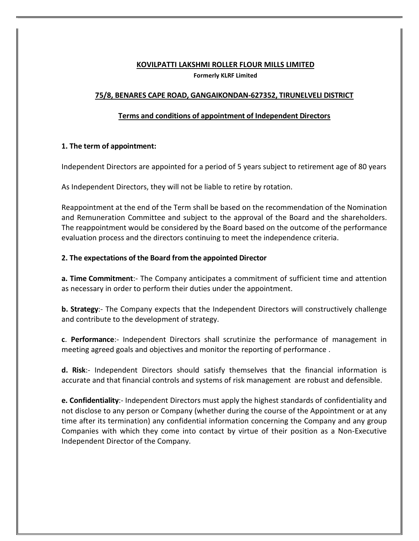#### **KOVILPATTI LAKSHMI ROLLER FLOUR MILLS LIMITED**

**Formerly KLRF Limited** 

### **75/8, BENARES CAPE ROAD, GANGAIKONDAN-627352, TIRUNELVELI DISTRICT**

#### **Terms and conditions of appointment of Independent Directors**

#### **1. The term of appointment:**

Independent Directors are appointed for a period of 5 years subject to retirement age of 80 years

As Independent Directors, they will not be liable to retire by rotation.

Reappointment at the end of the Term shall be based on the recommendation of the Nomination and Remuneration Committee and subject to the approval of the Board and the shareholders. The reappointment would be considered by the Board based on the outcome of the performance evaluation process and the directors continuing to meet the independence criteria.

#### **2. The expectations of the Board from the appointed Director**

**a. Time Commitment**:- The Company anticipates a commitment of sufficient time and attention as necessary in order to perform their duties under the appointment.

**b. Strategy**:- The Company expects that the Independent Directors will constructively challenge and contribute to the development of strategy.

**c**. **Performance**:- Independent Directors shall scrutinize the performance of management in meeting agreed goals and objectives and monitor the reporting of performance .

**d. Risk**:- Independent Directors should satisfy themselves that the financial information is accurate and that financial controls and systems of risk management are robust and defensible.

**e. Confidentiality**:- Independent Directors must apply the highest standards of confidentiality and not disclose to any person or Company (whether during the course of the Appointment or at any time after its termination) any confidential information concerning the Company and any group Companies with which they come into contact by virtue of their position as a Non-Executive Independent Director of the Company.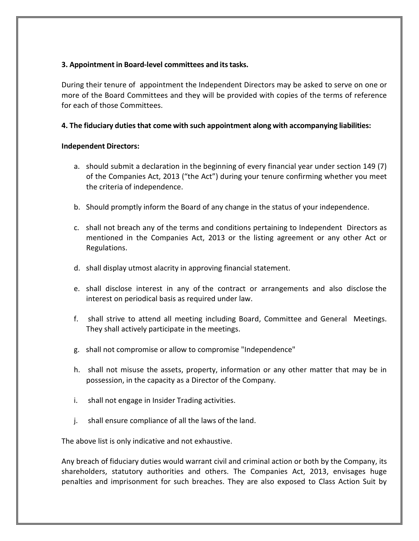### **3. Appointment in Board-level committees and its tasks.**

During their tenure of appointment the Independent Directors may be asked to serve on one or more of the Board Committees and they will be provided with copies of the terms of reference for each of those Committees.

### **4. The fiduciary duties that come with such appointment along with accompanying liabilities:**

#### **Independent Directors:**

- a. should submit a declaration in the beginning of every financial year under section 149 (7) of the Companies Act, 2013 ("the Act") during your tenure confirming whether you meet the criteria of independence.
- b. Should promptly inform the Board of any change in the status of your independence.
- c. shall not breach any of the terms and conditions pertaining to Independent Directors as mentioned in the Companies Act, 2013 or the listing agreement or any other Act or Regulations.
- d. shall display utmost alacrity in approving financial statement.
- e. shall disclose interest in any of the contract or arrangements and also disclose the interest on periodical basis as required under law.
- f. shall strive to attend all meeting including Board, Committee and General Meetings. They shall actively participate in the meetings.
- g. shall not compromise or allow to compromise "Independence"
- h. shall not misuse the assets, property, information or any other matter that may be in possession, in the capacity as a Director of the Company.
- i. shall not engage in Insider Trading activities.
- j. shall ensure compliance of all the laws of the land.

The above list is only indicative and not exhaustive.

Any breach of fiduciary duties would warrant civil and criminal action or both by the Company, its shareholders, statutory authorities and others. The Companies Act, 2013, envisages huge penalties and imprisonment for such breaches. They are also exposed to Class Action Suit by